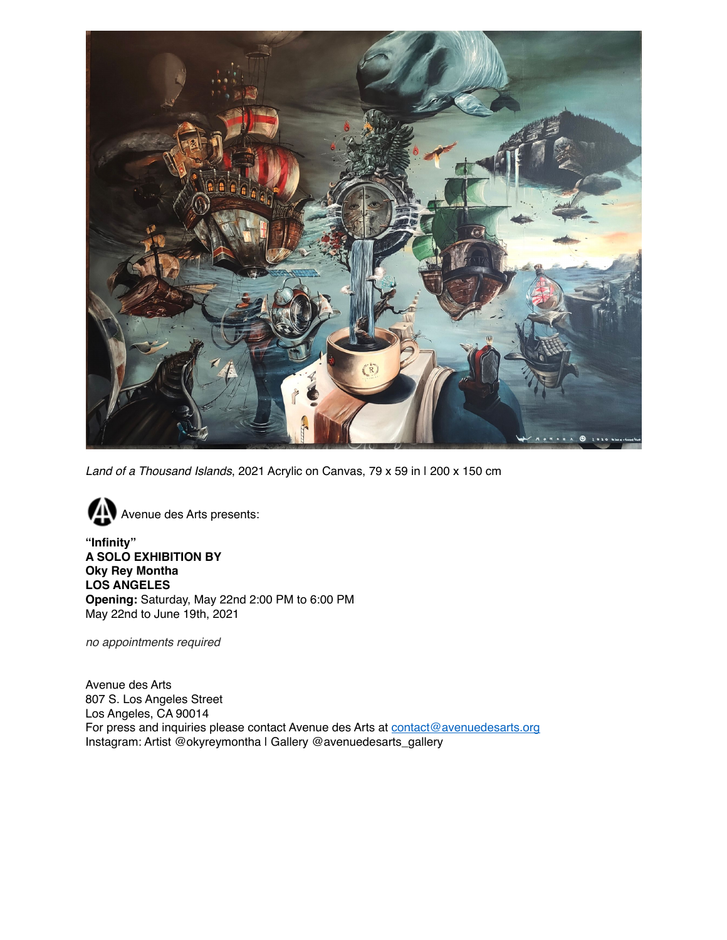

*Land of a Thousand Islands*, 2021 Acrylic on Canvas, 79 x 59 in | 200 x 150 cm



**"Infinity" A SOLO EXHIBITION BY Oky Rey Montha LOS ANGELES Opening:** Saturday, May 22nd 2:00 PM to 6:00 PM May 22nd to June 19th, 2021

*no appointments required*

Avenue des Arts 807 S. Los Angeles Street Los Angeles, CA 90014 For press and inquiries please contact Avenue des Arts at [contact@avenuedesarts.org](mailto:contact@avenuedesarts.org) Instagram: Artist @okyreymontha | Gallery @avenuedesarts\_gallery